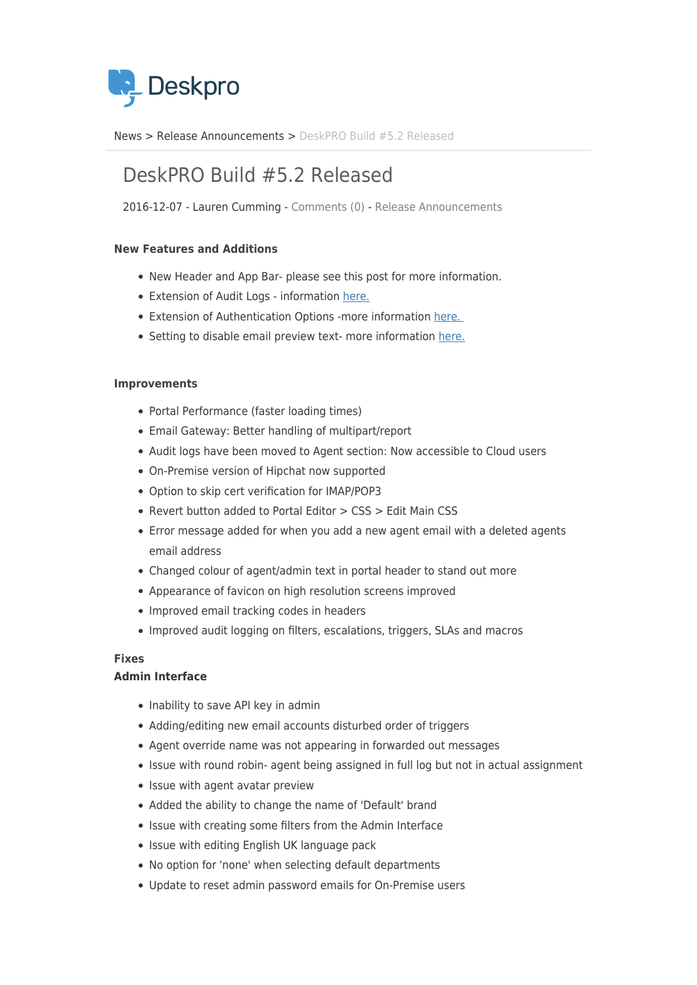

[News](https://support.deskpro.com/ro/news) > [Release Announcements](https://support.deskpro.com/ro/news/release-announcements) > [DeskPRO Build #5.2 Released](https://support.deskpro.com/ro/news/posts/deskpro-build-5-2-released-2)

# DeskPRO Build #5.2 Released

2016-12-07 - Lauren Cumming - [Comments \(0\)](#page--1-0) - [Release Announcements](https://support.deskpro.com/ro/news/release-announcements)

## **New Features and Additions**

- New Header and App Bar- please see this post for more information.
- Extension of Audit Logs information [here.](https://support.deskpro.com/news/posts/634)
- Extension of Authentication Options -more information [here.](https://support.deskpro.com/news/posts/635)
- Setting to disable email preview text- more information [here.](https://support.deskpro.com/news/posts/636)

### **Improvements**

- Portal Performance (faster loading times)
- Email Gateway: Better handling of multipart/report
- Audit logs have been moved to Agent section: Now accessible to Cloud users
- On-Premise version of Hipchat now supported
- Option to skip cert verification for IMAP/POP3
- Revert button added to Portal Editor > CSS > Edit Main CSS
- Error message added for when you add a new agent email with a deleted agents email address
- Changed colour of agent/admin text in portal header to stand out more
- Appearance of favicon on high resolution screens improved
- Improved email tracking codes in headers
- Improved audit logging on filters, escalations, triggers, SLAs and macros

# **Fixes**

### **Admin Interface**

- Inability to save API key in admin
- Adding/editing new email accounts disturbed order of triggers
- Agent override name was not appearing in forwarded out messages
- Issue with round robin- agent being assigned in full log but not in actual assignment
- Issue with agent avatar preview
- Added the ability to change the name of 'Default' brand
- Issue with creating some filters from the Admin Interface
- Issue with editing English UK language pack
- No option for 'none' when selecting default departments
- Update to reset admin password emails for On-Premise users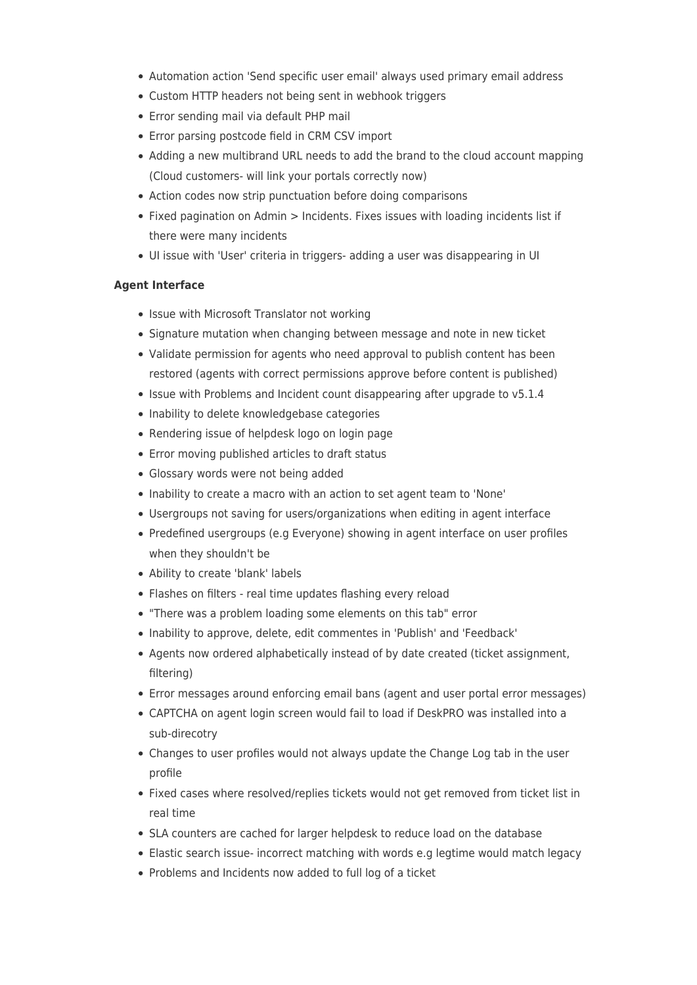- Automation action 'Send specific user email' always used primary email address
- Custom HTTP headers not being sent in webhook triggers
- Error sending mail via default PHP mail
- Error parsing postcode field in CRM CSV import
- Adding a new multibrand URL needs to add the brand to the cloud account mapping (Cloud customers- will link your portals correctly now)
- Action codes now strip punctuation before doing comparisons
- Fixed pagination on Admin > Incidents. Fixes issues with loading incidents list if there were many incidents
- UI issue with 'User' criteria in triggers- adding a user was disappearing in UI

### **Agent Interface**

- Issue with Microsoft Translator not working
- Signature mutation when changing between message and note in new ticket
- Validate permission for agents who need approval to publish content has been restored (agents with correct permissions approve before content is published)
- Issue with Problems and Incident count disappearing after upgrade to v5.1.4
- Inability to delete knowledgebase categories
- Rendering issue of helpdesk logo on login page
- Error moving published articles to draft status
- Glossary words were not being added
- Inability to create a macro with an action to set agent team to 'None'
- Usergroups not saving for users/organizations when editing in agent interface
- Predefined usergroups (e.g Everyone) showing in agent interface on user profiles when they shouldn't be
- Ability to create 'blank' labels
- Flashes on filters real time updates flashing every reload
- "There was a problem loading some elements on this tab" error
- Inability to approve, delete, edit commentes in 'Publish' and 'Feedback'
- Agents now ordered alphabetically instead of by date created (ticket assignment, filtering)
- Error messages around enforcing email bans (agent and user portal error messages)
- CAPTCHA on agent login screen would fail to load if DeskPRO was installed into a sub-direcotry
- Changes to user profiles would not always update the Change Log tab in the user profile
- Fixed cases where resolved/replies tickets would not get removed from ticket list in real time
- SLA counters are cached for larger helpdesk to reduce load on the database
- Elastic search issue- incorrect matching with words e.g legtime would match legacy
- Problems and Incidents now added to full log of a ticket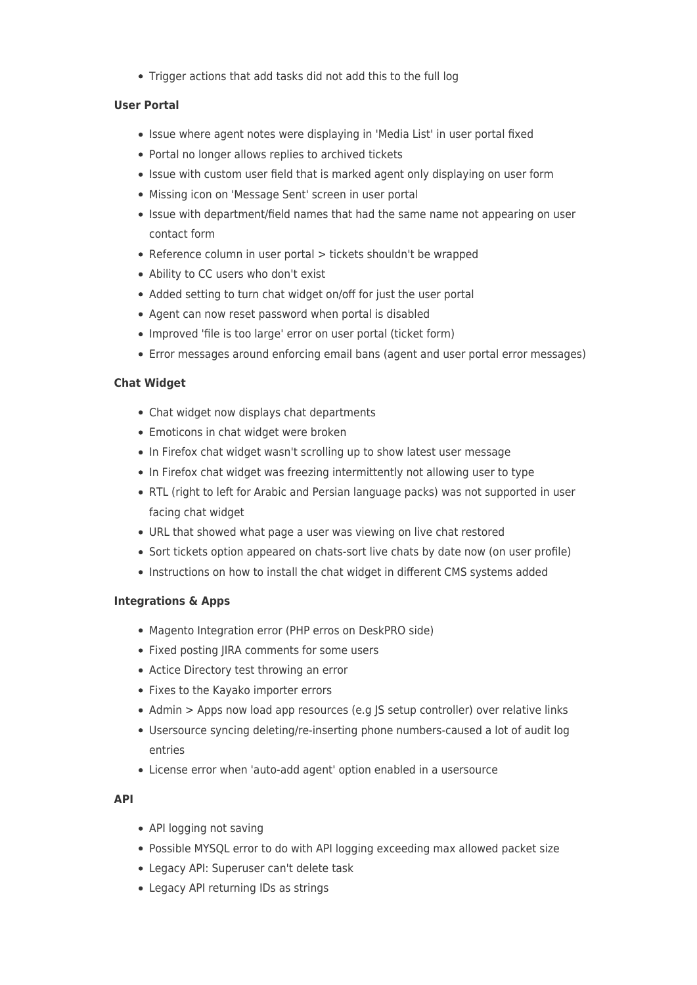Trigger actions that add tasks did not add this to the full log

## **User Portal**

- Issue where agent notes were displaying in 'Media List' in user portal fixed
- Portal no longer allows replies to archived tickets
- Issue with custom user field that is marked agent only displaying on user form
- Missing icon on 'Message Sent' screen in user portal
- Issue with department/field names that had the same name not appearing on user contact form
- Reference column in user portal > tickets shouldn't be wrapped
- Ability to CC users who don't exist
- Added setting to turn chat widget on/off for just the user portal
- Agent can now reset password when portal is disabled
- Improved 'file is too large' error on user portal (ticket form)
- Error messages around enforcing email bans (agent and user portal error messages)

# **Chat Widget**

- Chat widget now displays chat departments
- Emoticons in chat widget were broken
- In Firefox chat widget wasn't scrolling up to show latest user message
- In Firefox chat widget was freezing intermittently not allowing user to type
- RTL (right to left for Arabic and Persian language packs) was not supported in user facing chat widget
- URL that showed what page a user was viewing on live chat restored
- Sort tickets option appeared on chats-sort live chats by date now (on user profile)
- Instructions on how to install the chat widget in different CMS systems added

# **Integrations & Apps**

- Magento Integration error (PHP erros on DeskPRO side)
- Fixed posting JIRA comments for some users
- Actice Directory test throwing an error
- Fixes to the Kayako importer errors
- Admin > Apps now load app resources (e.g JS setup controller) over relative links
- Usersource syncing deleting/re-inserting phone numbers-caused a lot of audit log entries
- License error when 'auto-add agent' option enabled in a usersource

# **API**

- API logging not saving
- Possible MYSQL error to do with API logging exceeding max allowed packet size
- Legacy API: Superuser can't delete task
- Legacy API returning IDs as strings